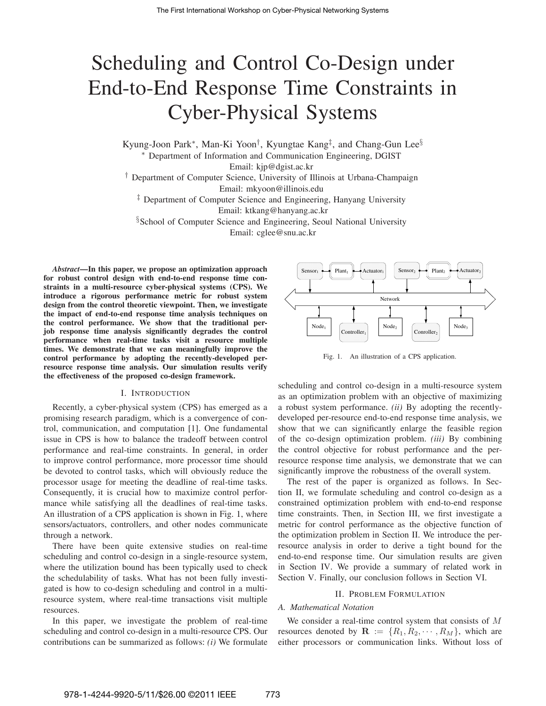# Scheduling and Control Co-Design under End-to-End Response Time Constraints in Cyber-Physical Systems

Kyung-Joon Park∗, Man-Ki Yoon†, Kyungtae Kang‡, and Chang-Gun Lee§ ∗ Department of Information and Communication Engineering, DGIST

Email: kjp@dgist.ac.kr

† Department of Computer Science, University of Illinois at Urbana-Champaign Email: mkyoon@illinois.edu

‡ Department of Computer Science and Engineering, Hanyang University Email: ktkang@hanyang.ac.kr

§School of Computer Science and Engineering, Seoul National University Email: cglee@snu.ac.kr

*Abstract***—In this paper, we propose an optimization approach for robust control design with end-to-end response time constraints in a multi-resource cyber-physical systems (CPS). We introduce a rigorous performance metric for robust system design from the control theoretic viewpoint. Then, we investigate the impact of end-to-end response time analysis techniques on the control performance. We show that the traditional perjob response time analysis significantly degrades the control performance when real-time tasks visit a resource multiple times. We demonstrate that we can meaningfully improve the control performance by adopting the recently-developed perresource response time analysis. Our simulation results verify the effectiveness of the proposed co-design framework.**

## I. INTRODUCTION

Recently, a cyber-physical system (CPS) has emerged as a promising research paradigm, which is a convergence of control, communication, and computation [1]. One fundamental issue in CPS is how to balance the tradeoff between control performance and real-time constraints. In general, in order to improve control performance, more processor time should be devoted to control tasks, which will obviously reduce the processor usage for meeting the deadline of real-time tasks. Consequently, it is crucial how to maximize control performance while satisfying all the deadlines of real-time tasks. An illustration of a CPS application is shown in Fig. 1, where sensors/actuators, controllers, and other nodes communicate through a network.

There have been quite extensive studies on real-time scheduling and control co-design in a single-resource system, where the utilization bound has been typically used to check the schedulability of tasks. What has not been fully investigated is how to co-design scheduling and control in a multiresource system, where real-time transactions visit multiple resources.

In this paper, we investigate the problem of real-time scheduling and control co-design in a multi-resource CPS. Our contributions can be summarized as follows: *(i)* We formulate



Fig. 1. An illustration of a CPS application.

scheduling and control co-design in a multi-resource system as an optimization problem with an objective of maximizing a robust system performance. *(ii)* By adopting the recentlydeveloped per-resource end-to-end response time analysis, we show that we can significantly enlarge the feasible region of the co-design optimization problem. *(iii)* By combining the control objective for robust performance and the perresource response time analysis, we demonstrate that we can significantly improve the robustness of the overall system.

The rest of the paper is organized as follows. In Section II, we formulate scheduling and control co-design as a constrained optimization problem with end-to-end response time constraints. Then, in Section III, we first investigate a metric for control performance as the objective function of the optimization problem in Section II. We introduce the perresource analysis in order to derive a tight bound for the end-to-end response time. Our simulation results are given in Section IV. We provide a summary of related work in Section V. Finally, our conclusion follows in Section VI.

## II. PROBLEM FORMULATION

# *A. Mathematical Notation*

We consider a real-time control system that consists of M resources denoted by  $\mathbf{R} := \{R_1, R_2, \cdots, R_M\}$ , which are either processors or communication links. Without loss of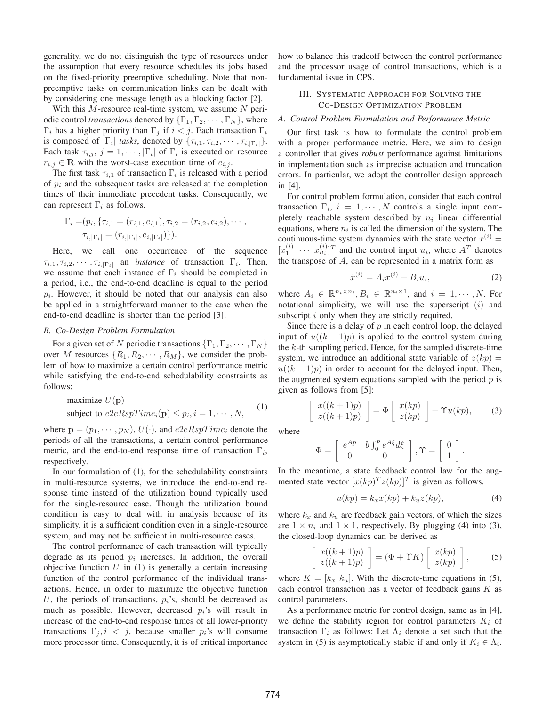generality, we do not distinguish the type of resources under the assumption that every resource schedules its jobs based on the fixed-priority preemptive scheduling. Note that nonpreemptive tasks on communication links can be dealt with by considering one message length as a blocking factor [2].

With this  $M$ -resource real-time system, we assume  $N$  periodic control *transactions* denoted by  $\{\Gamma_1, \Gamma_2, \cdots, \Gamma_N\}$ , where Γ<sub>i</sub> has a higher priority than Γ<sub>j</sub> if  $i < j$ . Each transaction Γ<sub>i</sub> is composed of  $|\Gamma_i|$  *tasks*, denoted by  $\{\tau_{i,1}, \tau_{i,2}, \cdots, \tau_{i,|\Gamma_i|}\}.$ Each task  $\tau_{i,j}, j = 1, \cdots, |\Gamma_i|$  of  $\Gamma_i$  is executed on resource  $r_{i,j} \in \mathbf{R}$  with the worst-case execution time of  $e_{i,j}$ .

The first task  $\tau_{i,1}$  of transaction  $\Gamma_i$  is released with a period of  $p_i$  and the subsequent tasks are released at the completion times of their immediate precedent tasks. Consequently, we can represent  $\Gamma_i$  as follows.

$$
\Gamma_i = (p_i, \{\tau_{i,1} = (r_{i,1}, e_{i,1}), \tau_{i,2} = (r_{i,2}, e_{i,2}), \cdots, \tau_{i,|\Gamma_i|} = (r_{i,|\Gamma_i|}, e_{i,|\Gamma_i|})\}.
$$

Here, we call one occurrence of the sequence  $\tau_{i,1}, \tau_{i,2}, \cdots, \tau_{i,|\Gamma_i|}$  an *instance* of transaction  $\Gamma_i$ . Then, we assume that each instance of  $\Gamma_i$  should be completed in a period, i.e., the end-to-end deadline is equal to the period  $p_i$ . However, it should be noted that our analysis can also be applied in a straightforward manner to the case when the end-to-end deadline is shorter than the period [3].

#### *B. Co-Design Problem Formulation*

For a given set of N periodic transactions  $\{\Gamma_1, \Gamma_2, \cdots, \Gamma_N\}$ over M resources  $\{R_1, R_2, \cdots, R_M\}$ , we consider the problem of how to maximize a certain control performance metric while satisfying the end-to-end schedulability constraints as follows:

maximize 
$$
U(\mathbf{p})
$$
  
subject to  $e2eRspTime_i(\mathbf{p}) \leq p_i, i = 1, \dots, N,$  (1)

where  $\mathbf{p} = (p_1, \dots, p_N)$ ,  $U(\cdot)$ , and  $e2eRspTime_i$  denote the periods of all the transactions, a certain control performance metric, and the end-to-end response time of transaction  $\Gamma_i$ , respectively.

In our formulation of (1), for the schedulability constraints in multi-resource systems, we introduce the end-to-end response time instead of the utilization bound typically used for the single-resource case. Though the utilization bound condition is easy to deal with in analysis because of its simplicity, it is a sufficient condition even in a single-resource system, and may not be sufficient in multi-resource cases.

The control performance of each transaction will typically degrade as its period  $p_i$  increases. In addition, the overall objective function  $U$  in (1) is generally a certain increasing function of the control performance of the individual transactions. Hence, in order to maximize the objective function U, the periods of transactions,  $p_i$ 's, should be decreased as much as possible. However, decreased  $p_i$ 's will result in increase of the end-to-end response times of all lower-priority transactions  $\Gamma_j, i \prec j$ , because smaller  $p_i$ 's will consume more processor time. Consequently, it is of critical importance how to balance this tradeoff between the control performance and the processor usage of control transactions, which is a fundamental issue in CPS.

# III. SYSTEMATIC APPROACH FOR SOLVING THE CO-DESIGN OPTIMIZATION PROBLEM

## *A. Control Problem Formulation and Performance Metric*

Our first task is how to formulate the control problem with a proper performance metric. Here, we aim to design a controller that gives *robust* performance against limitations in implementation such as imprecise actuation and truncation errors. In particular, we adopt the controller design approach in [4].

For control problem formulation, consider that each control transaction  $\Gamma_i$ ,  $i = 1, \dots, N$  controls a single input completely reachable system described by  $n_i$  linear differential equations, where  $n_i$  is called the dimension of the system. The continuous-time system dynamics with the state vector  $x^{(i)} =$  $[x_1^{(i)} \cdots x_{n_i}^{(i)}]^T$  and the control input  $u_i$ , where  $A^T$  denotes the transpose of  $A$  can be represented in a matrix form as  $[x_1^1 \cdots x_{n_i}]$  and the control input  $u_i$ , where  $A$  denote<br>the transpose of A, can be represented in a matrix form as

$$
\dot{x}^{(i)} = A_i x^{(i)} + B_i u_i,
$$
\n(2)

where  $A_i \in \mathbb{R}^{n_i \times n_i}, B_i \in \mathbb{R}^{n_i \times 1}$ , and  $i = 1, \dots, N$ . For notational simplicity, we will use the superscript  $(i)$  and subscript i only when they are strictly required.

Since there is a delay of  $p$  in each control loop, the delayed input of  $u((k-1)p)$  is applied to the control system during the k-th sampling period. Hence, for the sampled discrete-time system, we introduce an additional state variable of  $z(kp) =$  $u((k-1)p)$  in order to account for the delayed input. Then, the augmented system equations sampled with the period  $p$  is given as follows from [5]:

$$
\begin{bmatrix} x((k+1)p) \\ z((k+1)p) \end{bmatrix} = \Phi \begin{bmatrix} x(kp) \\ z(kp) \end{bmatrix} + \Upsilon u(kp), \qquad (3)
$$

where

$$
\Phi = \left[ \begin{array}{cc} e^{Ap} & b \int_0^p e^{A \xi} d\xi \\ 0 & 0 \end{array} \right], \Upsilon = \left[ \begin{array}{c} 0 \\ 1 \end{array} \right].
$$

In the meantime, a state feedback control law for the augmented state vector  $[x(kp)^T z(kp)]^T$  is given as follows.

$$
u(kp) = k_x x(kp) + k_u z(kp),
$$
\n(4)

where  $k_x$  and  $k_y$  are feedback gain vectors, of which the sizes are  $1 \times n_i$  and  $1 \times 1$ , respectively. By plugging (4) into (3), the closed-loop dynamics can be derived as

$$
\begin{bmatrix} x((k+1)p) \\ z((k+1)p) \end{bmatrix} = (\Phi + \Upsilon K) \begin{bmatrix} x(kp) \\ z(kp) \end{bmatrix},
$$
 (5)

where  $K = [k_x \, k_u]$ . With the discrete-time equations in (5), each control transaction has a vector of feedback gains  $K$  as control parameters.

As a performance metric for control design, same as in [4], we define the stability region for control parameters  $K_i$  of transaction  $\Gamma_i$  as follows: Let  $\Lambda_i$  denote a set such that the system in (5) is asymptotically stable if and only if  $K_i \in \Lambda_i$ .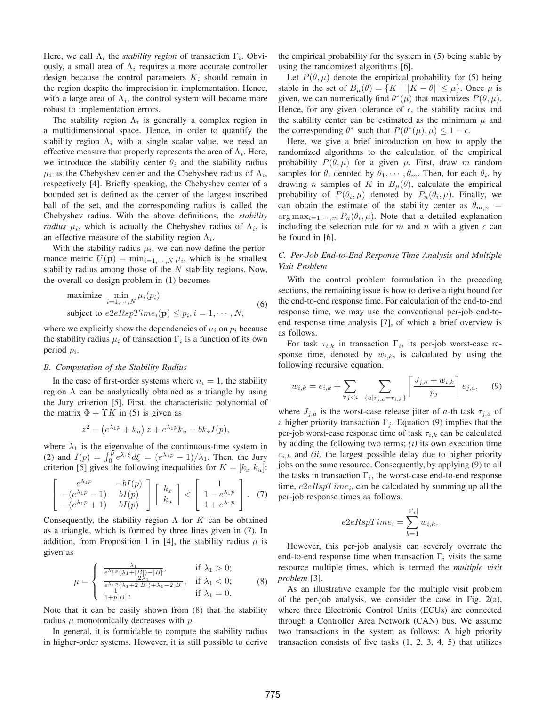Here, we call  $\Lambda_i$  the *stability region* of transaction  $\Gamma_i$ . Obviously, a small area of  $\Lambda_i$  requires a more accurate controller design because the control parameters  $K_i$  should remain in the region despite the imprecision in implementation. Hence, with a large area of  $\Lambda_i$ , the control system will become more robust to implementation errors.

The stability region  $\Lambda_i$  is generally a complex region in a multidimensional space. Hence, in order to quantify the stability region  $\Lambda_i$  with a single scalar value, we need an effective measure that properly represents the area of  $\Lambda_i$ . Here, we introduce the stability center  $\theta_i$  and the stability radius  $\mu_i$  as the Chebyshev center and the Chebyshev radius of  $\Lambda_i$ , respectively [4]. Briefly speaking, the Chebyshev center of a bounded set is defined as the center of the largest inscribed ball of the set, and the corresponding radius is called the Chebyshev radius. With the above definitions, the *stability radius*  $\mu_i$ , which is actually the Chebyshev radius of  $\Lambda_i$ , is an effective measure of the stability region  $\Lambda_i$ .

With the stability radius  $\mu_i$ , we can now define the performance metric  $U(\mathbf{p}) = \min_{i=1,\dots,N} \mu_i$ , which is the smallest stability radius among those of the  $N$  stability regions. Now, the overall co-design problem in (1) becomes

maximize 
$$
\min_{i=1,\dots,N} \mu_i(p_i)
$$
  
subject to  $e2eRspTime_i(\mathbf{p}) \le p_i, i = 1,\dots,N,$  (6)

where we explicitly show the dependencies of  $\mu_i$  on  $p_i$  because the stability radius  $\mu_i$  of transaction  $\Gamma_i$  is a function of its own period  $p_i$ .

## *B. Computation of the Stability Radius*

In the case of first-order systems where  $n_i = 1$ , the stability region  $\Lambda$  can be analytically obtained as a triangle by using the Jury criterion [5]. First, the characteristic polynomial of the matrix  $\Phi + \Upsilon K$  in (5) is given as

$$
z^2 - \left(e^{\lambda_1 p} + k_u\right)z + e^{\lambda_1 p}k_u - bk_x I(p),
$$

where  $\lambda_1$  is the eigenvalue of the continuous-time system in (2) and  $I(p) = \int_0^{\bar{p}} e^{\lambda_1 \xi} d\xi = (e^{\lambda_1 p} - 1)/\lambda_1$ . Then, the Jury criterion [5] gives the following inequalities for  $K = [k \ k]$ . criterion [5] gives the following inequalities for  $K = [k_x \, k_y]$ :

$$
\begin{bmatrix} e^{\lambda_1 p} & -bI(p) \\ -(e^{\lambda_1 p}-1) & bI(p) \\ -(e^{\lambda_1 p}+1) & bI(p) \end{bmatrix} \begin{bmatrix} k_x \\ k_u \end{bmatrix} < \begin{bmatrix} 1 \\ 1-e^{\lambda_1 p} \\ 1+e^{\lambda_1 p} \end{bmatrix}.
$$
 (7)

Consequently, the stability region  $\Lambda$  for K can be obtained as a triangle, which is formed by three lines given in (7). In addition, from Proposition 1 in [4], the stability radius  $\mu$  is given as

$$
\mu = \begin{cases}\n\frac{\lambda_1}{e^{\lambda_1 p} (\lambda_1 + |B|) - |B|}, & \text{if } \lambda_1 > 0; \\
\frac{\lambda_1}{e^{\lambda_1 p} (\lambda_1 + 2|B|) + \lambda_1 - 2|B|}, & \text{if } \lambda_1 < 0; \\
\frac{1}{1 + p|B|}, & \text{if } \lambda_1 = 0.\n\end{cases}
$$
\n(8)

Note that it can be easily shown from (8) that the stability radius  $\mu$  monotonically decreases with  $p$ .

In general, it is formidable to compute the stability radius in higher-order systems. However, it is still possible to derive the empirical probability for the system in (5) being stable by using the randomized algorithms [6].

Let  $P(\theta, \mu)$  denote the empirical probability for (5) being stable in the set of  $B_{\mu}(\theta) = \{K \mid ||K - \theta|| \leq \mu\}$ . Once  $\mu$  is given, we can numerically find  $\theta^*(\mu)$  that maximizes  $P(\theta, \mu)$ . Hence, for any given tolerance of  $\epsilon$ , the stability radius and the stability center can be estimated as the minimum  $\mu$  and the corresponding  $\theta^*$  such that  $P(\theta^*(\mu), \mu) \leq 1 - \epsilon$ .

Here, we give a brief introduction on how to apply the randomized algorithms to the calculation of the empirical probability  $P(\theta, \mu)$  for a given  $\mu$ . First, draw m random samples for  $\theta$ , denoted by  $\theta_1, \dots, \theta_m$ . Then, for each  $\theta_i$ , by drawing *n* samples of K in  $B_{\mu}(\theta)$ , calculate the empirical probability of  $P(\theta_i, \mu)$  denoted by  $P_n(\theta_i, \mu)$ . Finally, we can obtain the estimate of the stability center as  $\theta_{m,n}$  =  $\arg \max_{i=1,\dots,m} P_n(\theta_i,\mu)$ . Note that a detailed explanation including the selection rule for m and n with a given  $\epsilon$  can be found in [6].

# *C. Per-Job End-to-End Response Time Analysis and Multiple Visit Problem*

With the control problem formulation in the preceding sections, the remaining issue is how to derive a tight bound for the end-to-end response time. For calculation of the end-to-end response time, we may use the conventional per-job end-toend response time analysis [7], of which a brief overview is as follows.

For task  $\tau_{i,k}$  in transaction  $\Gamma_i$ , its per-job worst-case response time, denoted by  $w_{i,k}$ , is calculated by using the following recursive equation.

$$
w_{i,k} = e_{i,k} + \sum_{\forall j < i} \sum_{\{a | r_{j,a} = r_{i,k}\}} \left[ \frac{J_{j,a} + w_{i,k}}{p_j} \right] e_{j,a}, \quad (9)
$$

where  $J_{j,a}$  is the worst-case release jitter of a-th task  $\tau_{j,a}$  of a higher priority transaction  $\Gamma_j$ . Equation (9) implies that the per-job worst-case response time of task  $\tau_{i,k}$  can be calculated by adding the following two terms; *(i)* its own execution time  $e_{i,k}$  and *(ii)* the largest possible delay due to higher priority jobs on the same resource. Consequently, by applying (9) to all the tasks in transaction  $\Gamma_i$ , the worst-case end-to-end response time,  $e2eRspTime_i$ , can be calculated by summing up all the per-job response times as follows.

$$
e2eRspTime_i = \sum_{k=1}^{|\Gamma_i|} w_{i,k}.
$$

However, this per-job analysis can severely overrate the end-to-end response time when transaction  $\Gamma_i$  visits the same resource multiple times, which is termed the *multiple visit problem* [3].

As an illustrative example for the multiple visit problem of the per-job analysis, we consider the case in Fig. 2(a), where three Electronic Control Units (ECUs) are connected through a Controller Area Network (CAN) bus. We assume two transactions in the system as follows: A high priority transaction consists of five tasks  $(1, 2, 3, 4, 5)$  that utilizes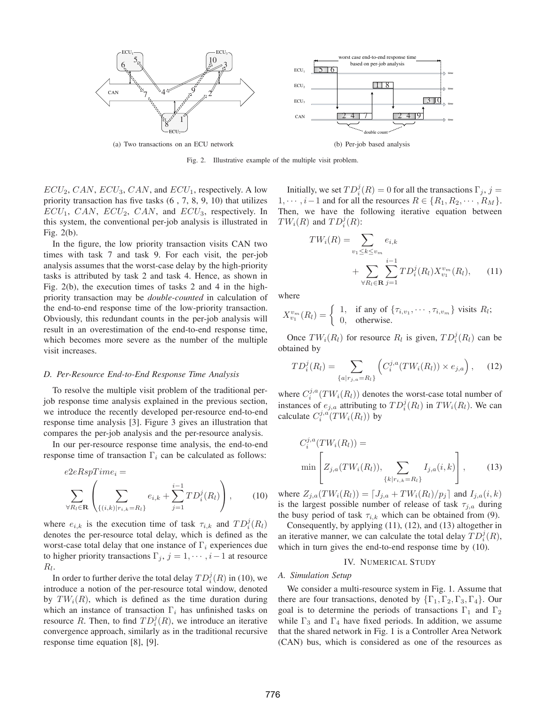

Fig. 2. Illustrative example of the multiple visit problem.

 $ECU_2$ ,  $CAN$ ,  $ECU_3$ ,  $CAN$ , and  $ECU_1$ , respectively. A low priority transaction has five tasks (6 , 7, 8, 9, 10) that utilizes  $ECU_1$ ,  $CAN$ ,  $ECU_2$ ,  $CAN$ , and  $ECU_3$ , respectively. In this system, the conventional per-job analysis is illustrated in Fig. 2(b).

In the figure, the low priority transaction visits CAN two times with task 7 and task 9. For each visit, the per-job analysis assumes that the worst-case delay by the high-priority tasks is attributed by task 2 and task 4. Hence, as shown in Fig. 2(b), the execution times of tasks 2 and 4 in the highpriority transaction may be *double-counted* in calculation of the end-to-end response time of the low-priority transaction. Obviously, this redundant counts in the per-job analysis will result in an overestimation of the end-to-end response time, which becomes more severe as the number of the multiple visit increases.

## *D. Per-Resource End-to-End Response Time Analysis*

To resolve the multiple visit problem of the traditional perjob response time analysis explained in the previous section, we introduce the recently developed per-resource end-to-end response time analysis [3]. Figure 3 gives an illustration that compares the per-job analysis and the per-resource analysis.

In our per-resource response time analysis, the end-to-end response time of transaction  $\Gamma_i$  can be calculated as follows:

$$
e2eRspTime_{i} = \sum_{\forall R_{l} \in \mathbf{R}} \left( \sum_{\{(i,k)|r_{i,k}=R_{l}\}} e_{i,k} + \sum_{j=1}^{i-1} TD_{i}^{j}(R_{l}) \right), \qquad (10)
$$

where  $e_{i,k}$  is the execution time of task  $\tau_{i,k}$  and  $TD_i^j(R_i)$ <br>denotes the per-resource total delay which is defined as the denotes the per-resource total delay, which is defined as the worst-case total delay that one instance of  $\Gamma_i$  experiences due to higher priority transactions  $\Gamma_j$ ,  $j = 1, \dots, i-1$  at resource  $R_l$ .

In order to further derive the total delay  $TD_i^j(R)$  in (10), we reduce a notion of the per-resource total window denoted introduce a notion of the per-resource total window, denoted by  $TW_i(R)$ , which is defined as the time duration during which an instance of transaction  $\Gamma_i$  has unfinished tasks on resource R. Then, to find  $TD_i^j(R)$ , we introduce an iterative<br>convergence approach similarly as in the traditional recursive convergence approach, similarly as in the traditional recursive response time equation [8], [9].

Initially, we set  $TD_i^j(R) = 0$  for all the transactions  $\Gamma_j$ ,  $j =$ <br> $\ldots$ ,  $j-1$  and for all the resources  $R \in \{R_1, R_2, \ldots, R_k\}$  $1, \dots, i-1$  and for all the resources  $R \in \{R_1, R_2, \dots, R_M\}.$ Then, we have the following iterative equation between  $TW_i(R)$  and  $TD_i^j(R)$ :

$$
TW_i(R) = \sum_{v_1 \le k \le v_m} e_{i,k} + \sum_{\forall R_l \in \mathbf{R}} \sum_{j=1}^{i-1} TD_i^j(R_l) X_{v_1}^{v_m}(R_l), \qquad (11)
$$

where

$$
X_{v_1}^{v_m}(R_l) = \begin{cases} 1, & \text{if any of } \{\tau_{i,v_1}, \cdots, \tau_{i,v_m}\} \text{ visits } R_l; \\ 0, & \text{otherwise.} \end{cases}
$$

Once  $TW_i(R_l)$  for resource  $R_l$  is given,  $TD_i^j(R_l)$  can be tained by obtained by

$$
TD_i^j(R_l) = \sum_{\{a|r_{j,a}=R_l\}} \left( C_i^{j,a}(TW_i(R_l)) \times e_{j,a} \right), \quad (12)
$$

where  $C_i^{j,a}(TW_i(R_i))$  denotes the worst-case total number of instances of  $e_i$ , attributing to  $TD^j(R_i)$  in  $TW_i(R_i)$ . We can instances of  $e_{j,a}$  attributing to  $TD_i^j(R_l)$  in  $TW_i(R_l)$ . We can calculate  $C^{j,a}(TW_i(R_l))$  by calculate  $C_i^{j,a}(TW_i(R_l))$  by

$$
C_i^{j,a}(TW_i(R_l)) = \min\left[Z_{j,a}(TW_i(R_l)), \sum_{\{k|r_{i,k}=R_l\}} I_{j,a}(i,k)\right],
$$
 (13)

where  $Z_{j,a}(TW_i(R_l)) = [J_{j,a} + TW_i(R_l)/p_j]$  and  $I_{j,a}(i,k)$ is the largest possible number of release of task  $\tau_{j,a}$  during the busy period of task  $\tau_{i,k}$  which can be obtained from (9).

Consequently, by applying (11), (12), and (13) altogether in an iterative manner, we can calculate the total delay  $\overline{TD}_i^j(R)$ ,<br>which in turn gives the end-to-end response time by (10) which in turn gives the end-to-end response time by (10).

## IV. NUMERICAL STUDY

#### *A. Simulation Setup*

We consider a multi-resource system in Fig. 1. Assume that there are four transactions, denoted by  $\{\Gamma_1, \Gamma_2, \Gamma_3, \Gamma_4\}$ . Our goal is to determine the periods of transactions  $\Gamma_1$  and  $\Gamma_2$ while  $\Gamma_3$  and  $\Gamma_4$  have fixed periods. In addition, we assume that the shared network in Fig. 1 is a Controller Area Network (CAN) bus, which is considered as one of the resources as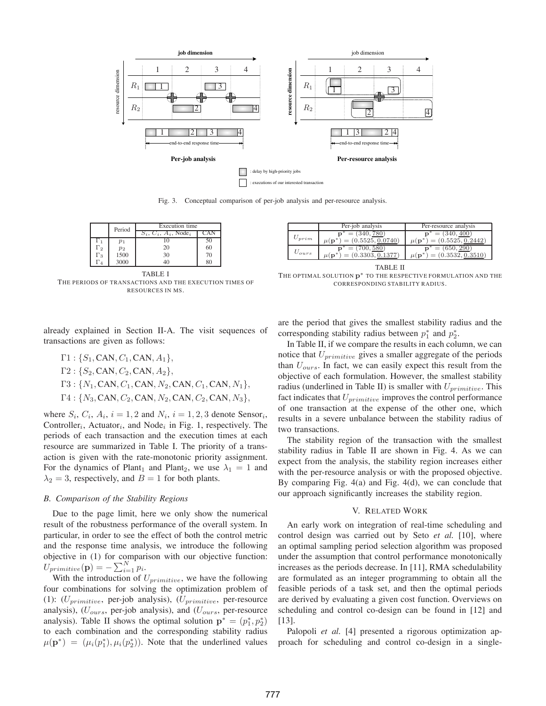

Fig. 3. Conceptual comparison of per-job analysis and per-resource analysis.

|            | Period   | <b>Execution</b> time                        |    |
|------------|----------|----------------------------------------------|----|
|            |          | $C_i$ , $A_i$ , Node <sub>i</sub><br>$S_i$ . |    |
| L'1        | $_{p_1}$ |                                              | 50 |
| $\Gamma_2$ | $_{p_2}$ | 20                                           | 60 |
| $\Gamma_3$ | 1500     | 30                                           | 70 |
|            | 3000     |                                              |    |

TABLE I THE PERIODS OF TRANSACTIONS AND THE EXECUTION TIMES OF RESOURCES IN MS.

|            | Per-job analysis                                                      | Per-resource analysis                                                 |
|------------|-----------------------------------------------------------------------|-----------------------------------------------------------------------|
| $U_{prim}$ | $\mathbf{p}^* = (340, 780)$<br>$\mu(\mathbf{p}^*) = (0.5525, 0.0740)$ | $\mathbf{p}^* = (340, 400)$<br>$\mu(\mathbf{p}^*) = (0.5525, 0.2442)$ |
| $U_{ours}$ | ${\bf p}^* = (700, 580)$<br>$\mu(\mathbf{p}^*) = (0.3303, 0.1377)$    | $\mathbf{p}^* = (650, 290)$<br>$\mu(\mathbf{p}^*) = (0.3532, 0.3510)$ |

TABLE II THE OPTIMAL SOLUTION **p**∗ TO THE RESPECTIVE FORMULATION AND THE CORRESPONDING STABILITY RADIUS.

already explained in Section II-A. The visit sequences of transactions are given as follows:

$$
\Gamma 1: \{S_1, CAN, C_1, CAN, A_1\},
$$
  
\n
$$
\Gamma 2: \{S_2, CAN, C_2, CAN, A_2\},
$$
  
\n
$$
\Gamma 3: \{N_1, CAN, C_1, CAN, N_2, CAN, C_1, CAN, N_1\},
$$
  
\n
$$
\Gamma 4: \{N_3, CAN, C_2, CAN, N_2, CAN, C_2, CAN, N_3\},
$$

where  $S_i$ ,  $C_i$ ,  $A_i$ ,  $i = 1, 2$  and  $N_i$ ,  $i = 1, 2, 3$  denote Sensor<sub>i</sub>, Controller<sub>i</sub>, Actuator<sub>i</sub>, and Node<sub>i</sub> in Fig. 1, respectively. The periods of each transaction and the execution times at each resource are summarized in Table I. The priority of a transaction is given with the rate-monotonic priority assignment. For the dynamics of Plant<sub>1</sub> and Plant<sub>2</sub>, we use  $\lambda_1 = 1$  and  $\lambda_2 = 3$ , respectively, and  $B = 1$  for both plants.

## *B. Comparison of the Stability Regions*

Due to the page limit, here we only show the numerical result of the robustness performance of the overall system. In particular, in order to see the effect of both the control metric and the response time analysis, we introduce the following objective in (1) for comparison with our objective function:  $U_{primitive}(\mathbf{p}) = -\sum_{i=1}^{N} p_i.$ <br>With the introduction of I

With the introduction of  $U_{primitive}$ , we have the following four combinations for solving the optimization problem of (1):  $(U_{primitive}$ , per-job analysis),  $(U_{primitive}$ , per-resource analysis),  $(U_{ours}$ , per-job analysis), and  $(U_{ours}$ , per-resource analysis). Table II shows the optimal solution  $\mathbf{p}^* = (p_1^*, p_2^*)$ <br>to each combination and the corresponding stability radius analysis). Table II shows the optimal solution  $\mathbf{p} - (p_1, p_2)$ <br>to each combination and the corresponding stability radius  $\mu(\mathbf{p}^*) = (\mu_i(p_1^*), \mu_i(p_2^*))$ . Note that the underlined values are the period that gives the smallest stability radius and the corresponding stability radius between  $p_1^*$  and  $p_2^*$ .

In Table II, if we compare the results in each column, we can notice that  $U_{primitive}$  gives a smaller aggregate of the periods than  $U_{ours}$ . In fact, we can easily expect this result from the objective of each formulation. However, the smallest stability radius (underlined in Table II) is smaller with  $U_{primitive}$ . This fact indicates that  $U_{primitive}$  improves the control performance of one transaction at the expense of the other one, which results in a severe unbalance between the stability radius of two transactions.

The stability region of the transaction with the smallest stability radius in Table II are shown in Fig. 4. As we can expect from the analysis, the stability region increases either with the per-resource analysis or with the proposed objective. By comparing Fig. 4(a) and Fig. 4(d), we can conclude that our approach significantly increases the stability region.

# V. RELATED WORK

An early work on integration of real-time scheduling and control design was carried out by Seto *et al.* [10], where an optimal sampling period selection algorithm was proposed under the assumption that control performance monotonically increases as the periods decrease. In [11], RMA schedulability are formulated as an integer programming to obtain all the feasible periods of a task set, and then the optimal periods are derived by evaluating a given cost function. Overviews on scheduling and control co-design can be found in [12] and [13].

Palopoli *et al.* [4] presented a rigorous optimization approach for scheduling and control co-design in a single-